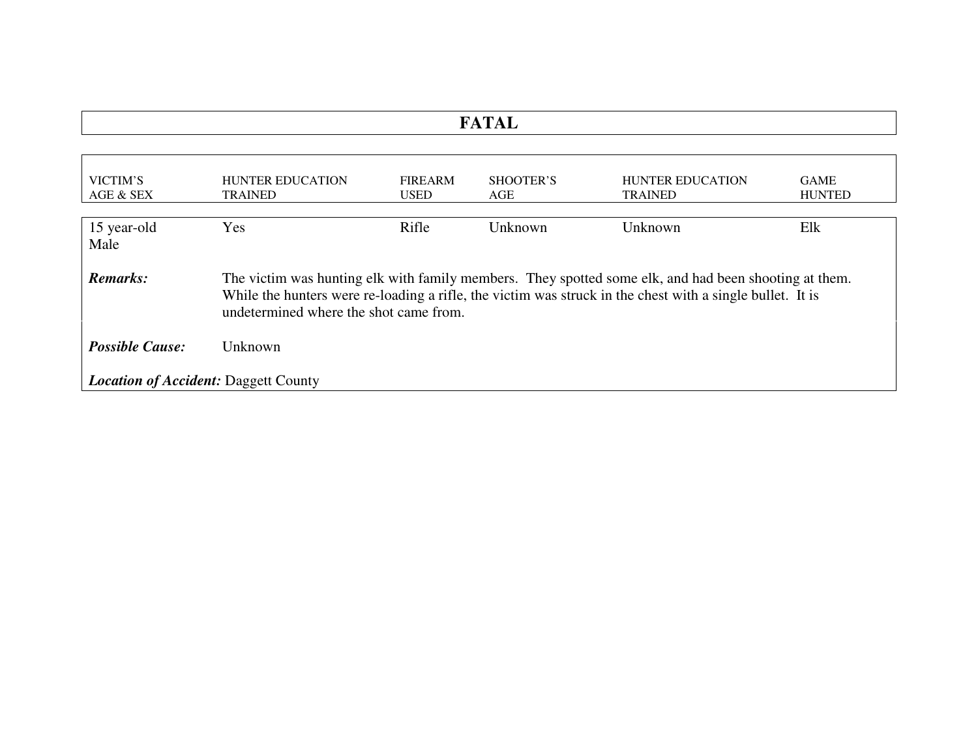| $\mathbf{r}$ , $\mathbf{r}$ , $\mathbf{r}$<br>------- |
|-------------------------------------------------------|
|                                                       |

| VICTIM'S<br>AGE & SEX                       | <b>HUNTER EDUCATION</b><br><b>TRAINED</b>                                                                                                                                                                                                                    | <b>FIREARM</b><br><b>USED</b> | SHOOTER'S<br>AGE | <b>HUNTER EDUCATION</b><br><b>TRAINED</b> | <b>GAME</b><br><b>HUNTED</b> |  |
|---------------------------------------------|--------------------------------------------------------------------------------------------------------------------------------------------------------------------------------------------------------------------------------------------------------------|-------------------------------|------------------|-------------------------------------------|------------------------------|--|
| 15 year-old<br>Male                         | Yes                                                                                                                                                                                                                                                          | Rifle                         | Unknown          | Unknown                                   | Elk                          |  |
| Remarks:                                    | The victim was hunting elk with family members. They spotted some elk, and had been shooting at them.<br>While the hunters were re-loading a rifle, the victim was struck in the chest with a single bullet. It is<br>undetermined where the shot came from. |                               |                  |                                           |                              |  |
| <b>Possible Cause:</b>                      | Unknown                                                                                                                                                                                                                                                      |                               |                  |                                           |                              |  |
| <b>Location of Accident: Daggett County</b> |                                                                                                                                                                                                                                                              |                               |                  |                                           |                              |  |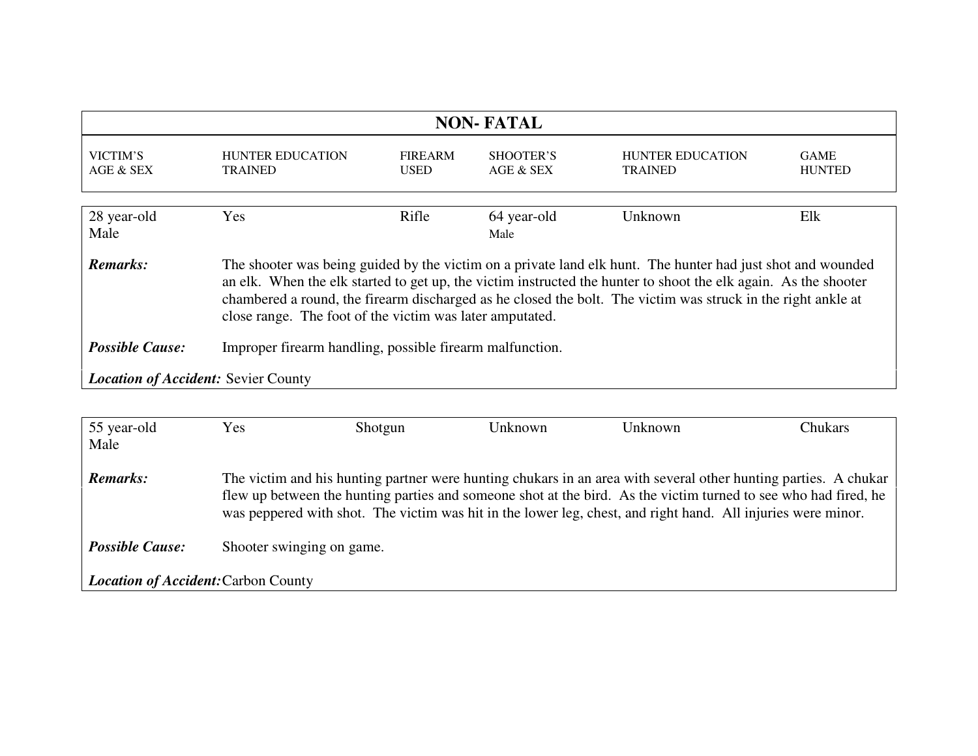| <b>NON-FATAL</b>                                                                                                                                                                                                                                                                                                                                                                                                              |                                           |                               |                        |                                           |                              |
|-------------------------------------------------------------------------------------------------------------------------------------------------------------------------------------------------------------------------------------------------------------------------------------------------------------------------------------------------------------------------------------------------------------------------------|-------------------------------------------|-------------------------------|------------------------|-------------------------------------------|------------------------------|
| VICTIM'S<br>AGE & SEX                                                                                                                                                                                                                                                                                                                                                                                                         | <b>HUNTER EDUCATION</b><br><b>TRAINED</b> | <b>FIREARM</b><br><b>USED</b> | SHOOTER'S<br>AGE & SEX | <b>HUNTER EDUCATION</b><br><b>TRAINED</b> | <b>GAME</b><br><b>HUNTED</b> |
| 28 year-old<br>Male                                                                                                                                                                                                                                                                                                                                                                                                           | Yes                                       | Rifle                         | 64 year-old<br>Male    | Unknown                                   | Elk                          |
| <b>Remarks:</b><br>The shooter was being guided by the victim on a private land elk hunt. The hunter had just shot and wounded<br>an elk. When the elk started to get up, the victim instructed the hunter to shoot the elk again. As the shooter<br>chambered a round, the firearm discharged as he closed the bolt. The victim was struck in the right ankle at<br>close range. The foot of the victim was later amputated. |                                           |                               |                        |                                           |                              |
| <b>Possible Cause:</b><br>Improper firearm handling, possible firearm malfunction.                                                                                                                                                                                                                                                                                                                                            |                                           |                               |                        |                                           |                              |
| <b>Location of Accident: Sevier County</b>                                                                                                                                                                                                                                                                                                                                                                                    |                                           |                               |                        |                                           |                              |

| 55 year-old                                | Yes | Shotgun                                                                                                      | Unknown | Unknown | Chukars                                                                                                                                                                                                                            |
|--------------------------------------------|-----|--------------------------------------------------------------------------------------------------------------|---------|---------|------------------------------------------------------------------------------------------------------------------------------------------------------------------------------------------------------------------------------------|
| Male                                       |     |                                                                                                              |         |         |                                                                                                                                                                                                                                    |
| <b>Remarks:</b>                            |     | was peppered with shot. The victim was hit in the lower leg, chest, and right hand. All injuries were minor. |         |         | The victim and his hunting partner were hunting chukars in an area with several other hunting parties. A chukar<br>flew up between the hunting parties and someone shot at the bird. As the victim turned to see who had fired, he |
| <b>Possible Cause:</b>                     |     | Shooter swinging on game.                                                                                    |         |         |                                                                                                                                                                                                                                    |
| <b>Location of Accident: Carbon County</b> |     |                                                                                                              |         |         |                                                                                                                                                                                                                                    |